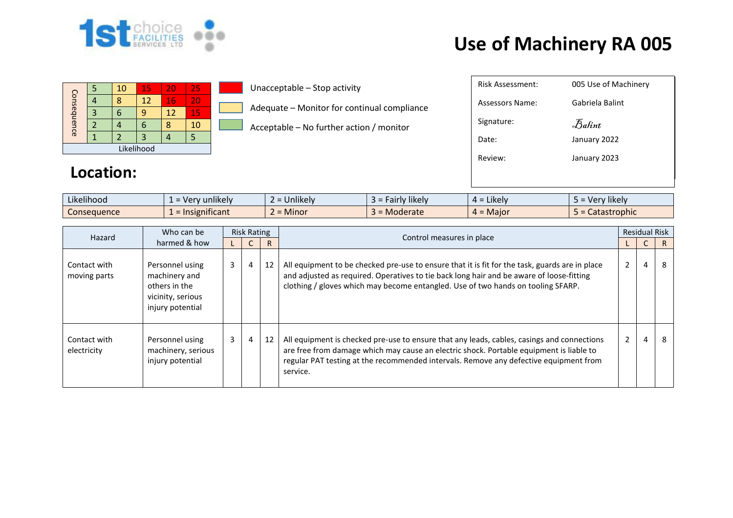

## **Use of Machinery RA 005**

| Consequence |  | 10 | 15 | 20 | 25 |  |  |  |
|-------------|--|----|----|----|----|--|--|--|
|             |  |    | 12 | 16 | 20 |  |  |  |
|             |  |    | q  | 12 | 15 |  |  |  |
|             |  |    | 6  |    | 10 |  |  |  |
|             |  |    |    |    |    |  |  |  |
| Likelihood  |  |    |    |    |    |  |  |  |

Unacceptable – Stop activity

Adequate – Monitor for continual compliance

Acceptable – No further action / monitor

| Risk Assessment: | 005 Use of Machinery |
|------------------|----------------------|
| Assessors Name:  | Gabriela Balint      |
| Signature:       | Balint               |
| Date:            | January 2022         |
| Review:          | January 2023         |
|                  |                      |

## **Location:**

| $\cdots$<br>$\cdots$<br>Likelihood | $\cdot$ unlikely $\cdot$<br>. ver | $\cdots$<br>$\sim$<br><b>Jnlikely</b> | $\cdots$<br><b>'likely</b><br>. airiv ' | $\cdot$ $\cdot$ $\cdot$<br>. = Likely<br>ᅟ <i>ᅟ</i> | $\cdots$<br>Very likely |
|------------------------------------|-----------------------------------|---------------------------------------|-----------------------------------------|-----------------------------------------------------|-------------------------|
| Consequence                        | .<br>$\epsilon$ = Insignificant   | <b>B A</b> *<br>∽<br>Minor<br>-       | Moderate                                | $\sim$ $\sim$<br>$4 =$ Maior                        | Catastrophic            |

| Hazard                       | Who can be                                                                                 | <b>Risk Rating</b>        |                |    | Control measures in place                                                                                                                                                                                                                                                                  |   | <b>Residual Risk</b> |                |
|------------------------------|--------------------------------------------------------------------------------------------|---------------------------|----------------|----|--------------------------------------------------------------------------------------------------------------------------------------------------------------------------------------------------------------------------------------------------------------------------------------------|---|----------------------|----------------|
|                              | harmed & how                                                                               |                           |                |    |                                                                                                                                                                                                                                                                                            |   | U                    | $\overline{R}$ |
| Contact with<br>moving parts | Personnel using<br>machinery and<br>others in the<br>vicinity, serious<br>injury potential | 3 <sup>7</sup><br>4<br>12 |                |    | All equipment to be checked pre-use to ensure that it is fit for the task, guards are in place<br>and adjusted as required. Operatives to tie back long hair and be aware of loose-fitting<br>clothing / gloves which may become entangled. Use of two hands on tooling SFARP.             | 2 | 4                    |                |
| Contact with<br>electricity  | Personnel using<br>machinery, serious<br>injury potential                                  | $\mathbf{3}$              | $\overline{4}$ | 12 | All equipment is checked pre-use to ensure that any leads, cables, casings and connections<br>are free from damage which may cause an electric shock. Portable equipment is liable to<br>regular PAT testing at the recommended intervals. Remove any defective equipment from<br>service. |   | 4                    | 8              |